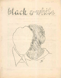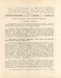

PUBLISHED BY NOVA PRESS FOR- FAPA SUMMER 1944

### WHEREIN JACK SPEER'S HAIR TURNS GRAY OVER NITE

## By Forrest J Ackerman

Jack Speer, as is fairly common knowledge in fandom, is color blind. Would to Stf that he could not distinguish between white and black! But he can and does---to my great regret.

My good friend Jack Speer, and I say that not sarcastically but sincerely, would, I presume, embrace and welcome as a brother a "man" from across space or time, be he 8 feet tall with green scales, tentacles and 4 eyes, or a floating brain sustained by a helium skin-sac. Any amicable conception of Paul, Bok, or Finlay, no matter how repellant a monstrosity, would be greeted and treated like a friend-- like Kinnison and Worsol, for example. But Jack balks at a specimen of homo sapiens pigmented black.

Jack Speer is intensely antinegro. And I have just found the first colored science fiction fan!

In a recent letter, Speer ("with Liberty and Juffus for all") told me in all sobriety and apparent self-satisfaction of a heinous action. Ho and a white woman (sic) had to sit opposite a "boogie" in a dining car of a train, "We choked up, looked around for some place to move to, which there wasn't, so had to content ourselves with making audible remarks, bolting the rest of the dinner, and getting away as soon as possible" --- and seems to have been quite proud of their conduct.' Damme if I shouldn't say, "Served 'em rightl" if they got indigestion. Alas for the inhumanity of man to man-- unquote. "The world is full of people,and the people are full of prejudice." Such uncivil conduct I consider despicable, heartless, cruel, censurable. Bad behavior for an average individual;for a science fiction fan, an actifan, in fact, in my estimation, one of the top 10 stfans..... incredible!

On our way to the Nycon, Moro jo and I felt distinctly uncomfortable, embarast to be members of such a country, when we passed through a certain state wherein seats in the coaches were partitioned temporarily and markt "For Colored Only". We resented this, we did not like to think any colored people were blaming us in their minds, looking at us accusingly. Beyond such personal,selfish considerations, we considered the situation fundamentally unjust.

Now I personally do not relish the company of negroes. I admit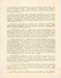I've a measure of squeamishness about associating with same. But this mental.maladjustment I conscientiously attempt to overcome.All it is, I think, is that, subconsciously, I feel because *a* man is black he'<sup>s</sup> dirty. Balderdash, of course. But one has to contend with one's thalamus!

While a Negro would not be sexually attractive to me, and I should not expect to have any intercourse with an Oriental or perhaps several other races radically different from the white, certainly I need not snub them in matters of normal activity: eating together, conversing, commerce, sport, etc. This is not to imply sexual relationships are not normal---please let us not go off on a sophisticated tangent.

If Jack is not aghast long before now, here is the part where. I confidently expect his red hair to fade at least to pink: I HAVE EATEN BUTTERED POPCORN. FROM THE SAME BAG WITH THIS COLORED FAN! NB: I felt no ill after-effects.

I hope to Stf that my colored fan friend never reads these words. I should want him to know, tho, that, this Jack Speer, of Washington, DC, is not representative of fandom, at least, I trust and believe not, and in fact may not be entirely responsible for his own conduct. Is the bent branch to blame if a wild wind or a ruthless hand twisted the sapling? I think there are extenuating circumstances; that Jack has been hypnotized by environment.

In the near future I intend to inform the LASFS of my discovery of this Negro fan, and ask if the club would have any objection to my inviting him to meetings. I do not expect opposition. Should opposition arise, <sup>I</sup>'<sup>d</sup> be aroused — dammit to hell, <sup>I</sup> can. promise you I'd be so boiling mad I'd be ready to make an issue of. it then and there: either we admit this fan or I go! But that would be melodramatic and unproductive of the desired result. Conceivably, if I do not flatter myself, there would be capitulation. But certainly it would be begrudged. I shouldn't want that. But I prefer to prophecy that when the time comes the members will rather think it <sup>a</sup>' little odd of me to question, that they might raise any objection,as tho I should know better. In that case I shall be very proud indeed of the fangelenos. But I must know for certain.

Wm R Twiford should have sent Jack Speer an autograft copy of his (obnoxious) book, "Sown in the Darkness—A.D. 2000". This is *<sup>a</sup>* novel Tremaine publisht in.the days of the Comet. It is one of the most dastardly damnations ever perpetrated, in. my opinion. Equaled, probably, only by that British abomination, "Concrete",of the sickening future religious revival.

"The Negro," twaddles Twiford," should have been, left in. Africa to go.the.way.of the untamed tiger,.the gorilla and the lion, into final extinction. If he had been left to do this, his soul, would have come back to this earth and be dwelling here today in a white body!" Metaphysical moronity!

"If such ultimate outcome was not the plan of the all-wise Creator, then why has He endowed the white race with superior in-

 $36 - 4$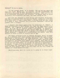# tellect?" It is to retch

"If God thought black to be beauty, why did He not paint the lily that way?" Surely you, my readers, see the superficial, tho ridiculous reasoning of this nauseating nonsense. Such mad-taik to me is revolting, horrendous and infamous, It really makes me quite incoherent with revulsion and rage, the evil idiocy of it!

Now fans are supposed to know things like relative viewpoints, and that to gorgeous hard ebon panther people living in caves hollowed from coal, a woman's pink body, descended from the apo, would be a thing of soft, bleached and blasphemous obscenity-- unless the panther were a fanther.

I suppose Jack Speer agrees with the sentiments of "Sown". I doubt he considers it God's Divine Will that the Negro should be abolisht, but I daresay he would consider tho prospect most desirable. If I may say so without seeming patronizing or superior, I think Jack has a Blind Spot on this subject.What can wo fellow fans say to him to show him the lite? I presume I'm writing to a sympathetic audience: I should be a disillusioned fan indeed were this article to raise a storm of protest against me,

The Negro servifan'<sup>s</sup> name is Vincent Williams. He'<sup>s</sup> a LA reader. As a passifan, he's boon reading omnivorously the past 3 years. Astounding is his favorite. He likes Heinlein, also "Lefty Feop" yarns. He roads Weird Tales too. And saves his mags, claiming quite a collection, including back numbers he's bought. He'd like to try his hand at writing, particularly playwriting and radio-scripting, of the stf and fsy variety, of course. He knew me by reputation---or repute. I hope to be instrumental in introducing him to fandom. I favor women and "foreigners" in fandom--STF alone the magic password, the Open Sesame-- and I earnestly hope you all will accept the concept of a dark-skinned brother.

Simultaneously, what the devil are we going to do about Jack?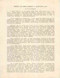#### WHEREIN JACK SPEER PARTAKES OF PANTOTHENIC ACID

# By Jack F Speer.

I doubt that he is the first Negro fan. Some time back, I believe Julius Unger said that an officer of one of the early stf clubs-- Scienceers or something like that——was colored. If this is correct., I would say that one more deserves the title of fan; I would call Williams a scientifictionist..

In the letter 4e refers to, I said that the ground for my attitude was objection to intermarriage, which is best prevented at. present,since we have no eugenics laws, by a psychological, barrier. For reasons which he may consider sufficient, 4e disregards this in writing his article.

Anyway, you can guess from that what my policy on. the extraterrestrials would be. Making the improbable assumption that creatures physically so different mite yet have the same number of chromosomes as man and be capable of interbreeding, I would still welcome them prima facie if it should be simply a matter of  $ex$ changing diplomats, scientists, and commercial representatives, and even making some scientific mating experiments. But if the e-t'<sup>s</sup> were slated to come live among us, and eventually intermarry, by the hundreds of thousands,  $I'$ d want to know what kind of genes they would contribute to the stock common.

The pigment of the skin, is not important, except as the most noticeable sign of the race. The other distinctive physical characteristics tend toward a presumption that Negroes are closer to the Neanderthal than Caucasians. But the real test as to equality must be of intelligence.

It is well known that blacks average, definitely lower on intelligence tests than whites do. Unfortunately, there are some environmental, differences mixed in with the inborn, traits, which make all present-day tests less-than completely reliable, but in my judgement these differences are utterly insufficient to account for all the disparity in scores, made on tests of intelligence, mark ye, not information or education. Example of the basis of my judgement: In the 201 files (alphabetical), which are now manned almost entirely by Negroes, large posters have been put up on the walls, showing simply the alphabet, for these blacks to refer to. Especially when you consider that they must have been (public-school.) educated and literate to have gotten into OAF work, you can't ascribe inability like that to lack of opportunity or incentive; it's unadulterated intellectual deficiency.

It is quite possible, since natural selection preserves the characteristics with survival value and discards those that are anti-survival, that the makeup of the Negro race is better suited for survival in certain environments than, that of the Caucasian; but in the civilization which the Occident builds and hopes to build, the most needed element is Intelligence, and that'<sup>s</sup> something we've got to work for, regardless of what the 18th Century Rationalists said about all men. being created equal.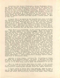Exceptions like Booker T Washington, George Washington Carver, and the two stfists in question,in no way disprove the general rule that Negroes show lower in inherited brainpower than average whites. But all of this is pretty far-flung reasoning. Obviously it'<sup>s</sup> not going to be much of a deterrent to a great many people; it may not bo even for our type if it remains simply the recognition of an intellectual abstraction. So I have built up, to some extent by artificial means, tho the natural reaction to Negroes assists, an emotional bar against contacts with them beyond a certain limit. More of this anon.

I expect that I am indeed in the minority here, since most fans are idealists leaning to the Left, and since the majority of them, like the majority of Americans,live in the North and West where the problem is not acute. In many such places the small Afro element could probably be absorbed with little noticeable deterioration -- But don't forget that there are millions of them below the Mason-Dixon line and coming North every year, and quick to marry the mulattoes and quadroons that are the first stages in any amalgamation.

Maybe there'<sup>s</sup> no possibility of you yourself marrying another race. But your example helps shape the mores. There are people in the lower mental classes, and people who care nothing for what society will be like a few generations from now, who will conclude that if you can mix with them politically, economically, intelloc tually, ct cetera, you can mix socially too. I can't think of any case where races have lived together for a long time and stayed distinct. The emotional bar mentioned slows down the process: thousands cross the color line every year, but a much smaller proportion in the South, where social disappoval is unequivocal. What reasons are there for anyone to marry outside hiser race? I guess in recent times the main reasons have been a mistaken idea that it will help racial understanding, desperation because no other spouse can be found, and perhaps in some cases on the level of "it gives me what I want". When we have dependable measurements of individuals' heredity, together with laws on tho subject, then will be the time to consider each individual case on its own merits; until then, the rather slipshod color line method will have to do bo hold miscegenation to a minimum. Incidentally, isn't it the strangest sort of inconsistency to find an author going out of his way to defend miscegenation at one place in a story of which the central ideal is racial improvement --- miscegenation which Heinlein himself admit would tend to deteriorate stock.

Ackerman is being absurd, and knows it, in putting me behind the straw man of Reverend Twiford. In sooth, a stronger case might be made by negrophiles if we were religious, the fatherhood of God over all of us often being said to imply tho brotherhood of all men.

The J is right in feeling that there was pride in the account of the incident on the train, but the pride was in the straightforward, objective reporting;the incident itself was simply unpleasant.

I didn't intend to debate this issue publicly while we have a war on. The thing doesn't have to be settled immediately, though of course the sooner the better,other things being equal. Other things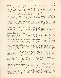aren't equal in war time,tho, and I think it's better policy not to go seeking troublesome points.

I don't got his phrase "He and a white woman (sic)". In the letter <sup>I</sup> said "Mrs. Eskridge.and me". "A white woman" would be a slitely improper way to speak of my sister.

It is suggested that I have been hypnotized by my environment in this matter. A bit of autobiography is in order:

The small

town in the South-West where I was brung up is predominately Anglo-Saxon. There were half a dozen or a dozen. Republicans, two German, households, and one Jewish family, whereof the son was the best companion I could find in school, tho I disliked his extreme extroversion. No Negroes could settle there; the policy was "Don't let the sun set on you inside town", but I didn't know there was such a policy until about the time I was twelve years old, and the only case I have heard of where it was enforced was when the banker's wife wanted to keep a colored maid. And as far as my home town environment was concerned, Negroes were non-existent.

In our summor trips to the

paternal home in Florida, of course, we did see quite *a* lot of darkies, There were a lot of them in Oakland, and they kept perfectly to their place. We liked Fanny and Charlie. I never knew there was a Negro problem till '38.

My first unpleasant notice of them was when. I was in Oklahoma City, but these were of no import. Once you. get to Washington, tho, you have to decide pretty quick where you will stand. I took Psych my first semester here; the War Department has supplied other supporting data since then.

A third of the Capi-

tal's normal population is colored. That makes it ethno-geographically a southern city. But the laws are dictated by Congress, where the North-West is supreme, so the only official segregation is in the schools. On common carriers and in many department stores there is a mixturejin amusement places and eateries the managerial policy is to exclude one race. Exceptions of course are government theaters and cafeterias. Even in the latter, however, they invariably eat at. .different tables,

Kiplinger's book on.Washington, describes pretty well the general attitude. We don't like having the Negroes here. They're responsible for most of the crime, and other things that give.the city a low desirability-rating as compared to the white cities of Southern California and the Middle East, But there are few flare-ups, and in.general we go our way and they go theirs. The only occasions for active dislike are those in which the blacks push their claims to equality, like the dining-car episode.

Oh --- incidentally, an item mentioning Pfo Ack-Ack and a colored soldier is slated for the next Fictitious But Definitely. Nothing especially objectional about it; I just want to say that it was thunk up before this debate materialized.

Another item. in. the letter which the "J" doesn't mention, tells of a time when I ate at the same table with-a Negress. The sponsor and program director, of a church group had invited her to speak. None of us liked it., but. thot it better not to precipitate a scene,So don't expect me to get up and walk out if Williams shows up at a convention. But don't expect me to welcome him with open arms, either,

ă